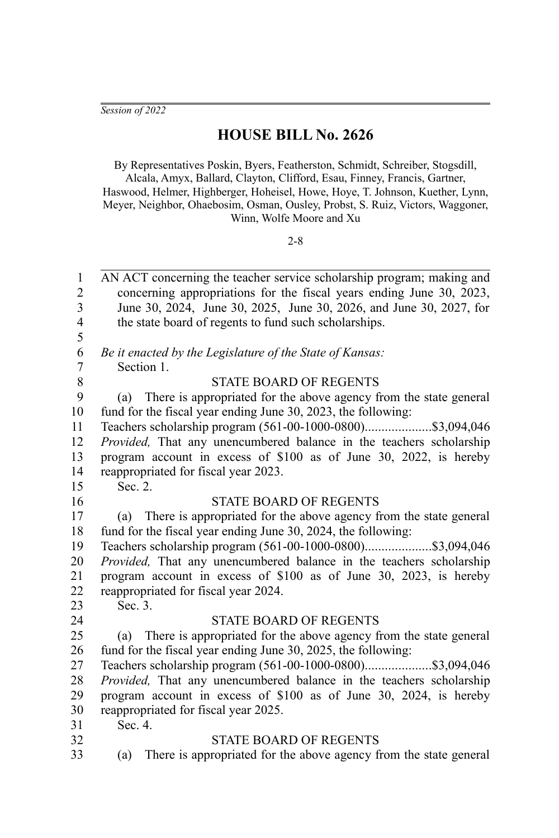*Session of 2022*

# **HOUSE BILL No. 2626**

By Representatives Poskin, Byers, Featherston, Schmidt, Schreiber, Stogsdill,

Alcala, Amyx, Ballard, Clayton, Clifford, Esau, Finney, Francis, Gartner, Haswood, Helmer, Highberger, Hoheisel, Howe, Hoye, T. Johnson, Kuether, Lynn, Meyer, Neighbor, Ohaebosim, Osman, Ousley, Probst, S. Ruiz, Victors, Waggoner, Winn, Wolfe Moore and Xu

### 2-8

AN ACT concerning the teacher service scholarship program; making and concerning appropriations for the fiscal years ending June 30, 2023, June 30, 2024, June 30, 2025, June 30, 2026, and June 30, 2027, for the state board of regents to fund such scholarships. 1 2 3 4 5

*Be it enacted by the Legislature of the State of Kansas:* Section 1.

6 7 8

## STATE BOARD OF REGENTS

(a) There is appropriated for the above agency from the state general fund for the fiscal year ending June 30, 2023, the following: 9 10

Teachers scholarship program (561-00-1000-0800)....................\$3,094,046 *Provided,* That any unencumbered balance in the teachers scholarship program account in excess of \$100 as of June 30, 2022, is hereby reappropriated for fiscal year 2023. 11 12 13 14

15

16

Sec. 2.

#### STATE BOARD OF REGENTS

(a) There is appropriated for the above agency from the state general fund for the fiscal year ending June 30, 2024, the following: 17 18

Teachers scholarship program (561-00-1000-0800)....................\$3,094,046 *Provided,* That any unencumbered balance in the teachers scholarship program account in excess of \$100 as of June 30, 2023, is hereby reappropriated for fiscal year 2024. Sec. 3. 19 20 21 22

23 24

32

#### STATE BOARD OF REGENTS

(a) There is appropriated for the above agency from the state general fund for the fiscal year ending June 30, 2025, the following: 25 26

Teachers scholarship program (561-00-1000-0800)....................\$3,094,046 *Provided,* That any unencumbered balance in the teachers scholarship program account in excess of \$100 as of June 30, 2024, is hereby reappropriated for fiscal year 2025. 27 28 29 30

Sec. 4. 31

#### STATE BOARD OF REGENTS

(a) There is appropriated for the above agency from the state general 33